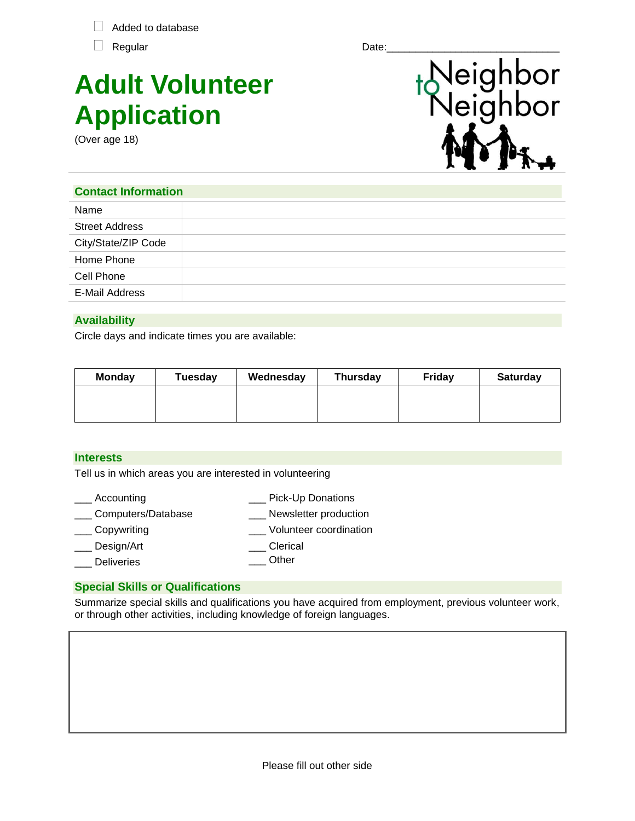Added to database

# **Adult Volunteer Application**

(Over age 18)



## **Contact Information**

| Name                  |  |
|-----------------------|--|
| <b>Street Address</b> |  |
| City/State/ZIP Code   |  |
| Home Phone            |  |
| Cell Phone            |  |
| E-Mail Address        |  |
|                       |  |

# **Availability**

Circle days and indicate times you are available:

| <b>Monday</b> | Tuesday | Wednesday | <b>Thursday</b> | <b>Fridav</b> | <b>Saturday</b> |
|---------------|---------|-----------|-----------------|---------------|-----------------|
|               |         |           |                 |               |                 |
|               |         |           |                 |               |                 |

## **Interests**

Tell us in which areas you are interested in volunteering

- \_\_\_ Accounting \_\_\_ Pick-Up Donations
- \_\_\_ Computers/Database \_\_\_ Newsletter production
- \_\_\_ Copywriting \_\_\_ Volunteer coordination
- Design/Art \_\_\_ Clerical
- **Deliveries** \_\_\_ Other

## **Special Skills or Qualifications**

Summarize special skills and qualifications you have acquired from employment, previous volunteer work, or through other activities, including knowledge of foreign languages.